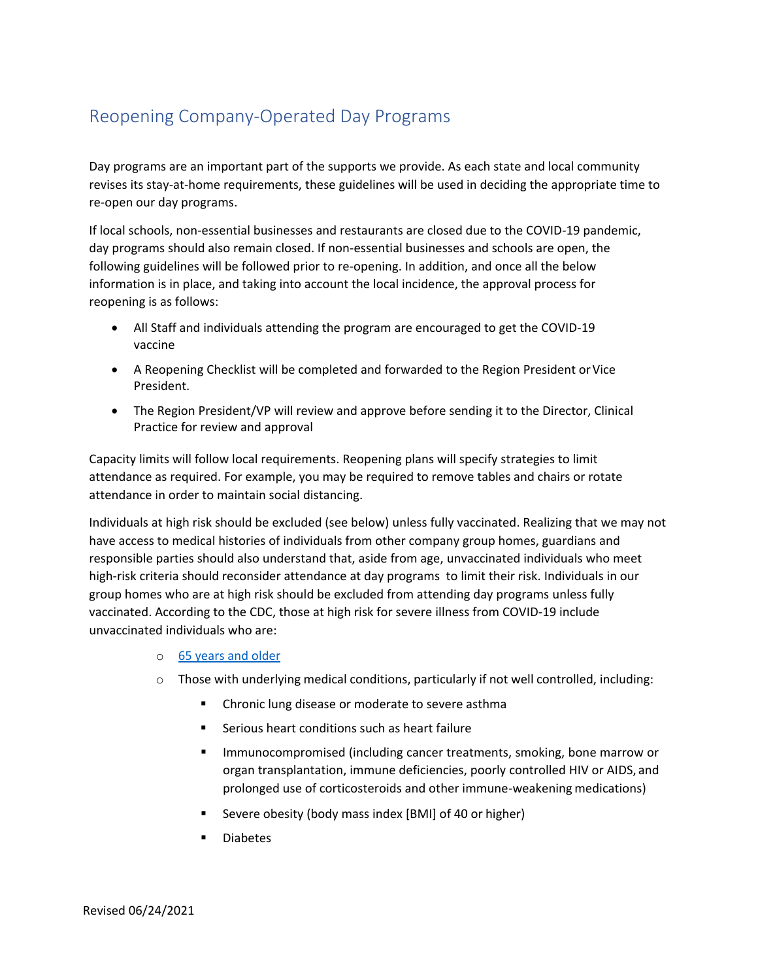# Reopening Company-Operated Day Programs

Day programs are an important part of the supports we provide. As each state and local community revises its stay-at-home requirements, these guidelines will be used in deciding the appropriate time to re-open our day programs.

If local schools, non-essential businesses and restaurants are closed due to the COVID-19 pandemic, day programs should also remain closed. If non-essential businesses and schools are open, the following guidelines will be followed prior to re-opening. In addition, and once all the below information is in place, and taking into account the local incidence, the approval process for reopening is as follows:

- All Staff and individuals attending the program are encouraged to get the COVID-19 vaccine
- A Reopening Checklist will be completed and forwarded to the Region President or Vice President.
- The Region President/VP will review and approve before sending it to the Director, Clinical Practice for review and approval

Capacity limits will follow local requirements. Reopening plans will specify strategies to limit attendance as required. For example, you may be required to remove tables and chairs or rotate attendance in order to maintain social distancing.

Individuals at high risk should be excluded (see below) unless fully vaccinated. Realizing that we may not have access to medical histories of individuals from other company group homes, guardians and responsible parties should also understand that, aside from age, unvaccinated individuals who meet high-risk criteria should reconsider attendance at day programs to limit their risk. Individuals in our group homes who are at high risk should be excluded from attending day programs unless fully vaccinated. According to the CDC, those at high risk for severe illness from COVID-19 include unvaccinated individuals who are:

- o [65 years and older](https://www.cdc.gov/coronavirus/2019-ncov/need-extra-precautions/older-adults.html)
- $\circ$  Those with underlying medical conditions, particularly if not well controlled, including:
	- Chronic lung disease or moderate to severe asthma
	- Serious heart conditions such as heart failure
	- **■** Immunocompromised (including cancer treatments, smoking, bone marrow or organ transplantation, immune deficiencies, poorly controlled HIV or AIDS, and prolonged use of corticosteroids and other immune-weakening medications)
	- Severe obesity (body mass index [BMI] of 40 or higher)
	- **Diabetes**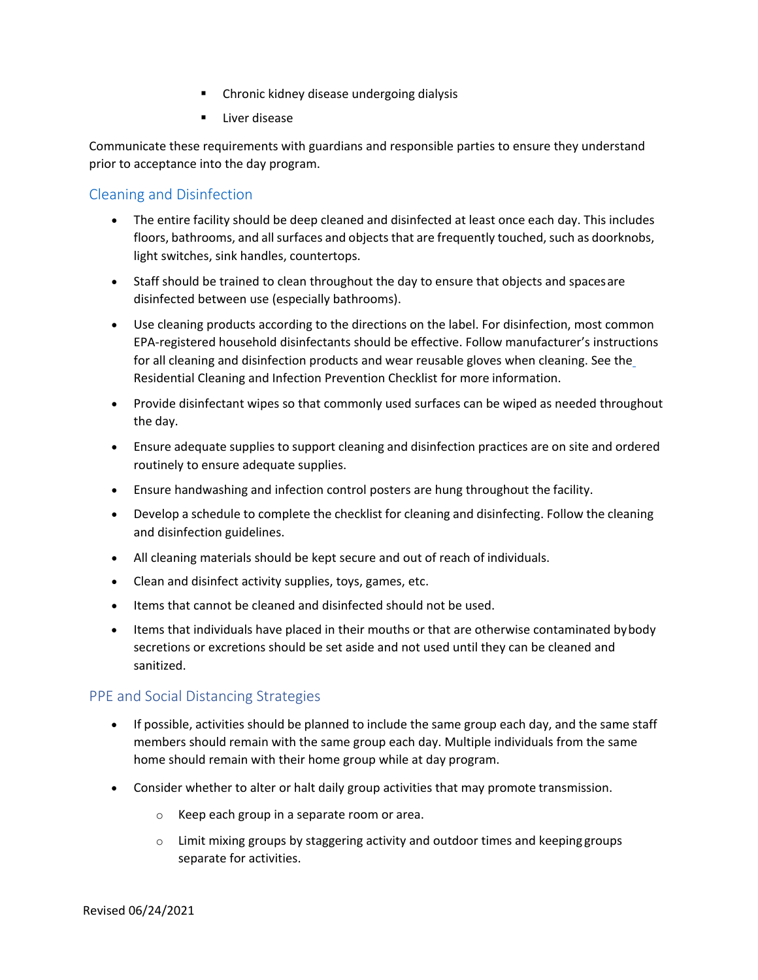- Chronic kidney disease undergoing dialysis
- Liver disease

Communicate these requirements with guardians and responsible parties to ensure they understand prior to acceptance into the day program.

### Cleaning and Disinfection

- The entire facility should be deep cleaned and disinfected at least once each day. This includes floors, bathrooms, and all surfaces and objects that are frequently touched, such as doorknobs, light switches, sink handles, countertops.
- Staff should be trained to clean throughout the day to ensure that objects and spacesare disinfected between use (especially bathrooms).
- Use cleaning products according to the directions on the label. For disinfection, most common EPA-registered household disinfectants should be effective. Follow manufacturer's instructions for all cleaning and disinfection products and wear reusable gloves when cleaning. See the Residential Cleaning and Infection Prevention Checklist for more information.
- Provide disinfectant wipes so that commonly used surfaces can be wiped as needed throughout the day.
- Ensure adequate supplies to support cleaning and disinfection practices are on site and ordered routinely to ensure adequate supplies.
- Ensure handwashing and infection control posters are hung throughout the facility.
- Develop a schedule to complete the checklist for cleaning and disinfecting. Follow the cleanin[g](https://reach.brightspringhealth.com/wp-content/uploads/Cleaning-and-Disinfection-Guidelines-04012020-1.pdf) [and disinfection](https://reach.brightspringhealth.com/wp-content/uploads/Cleaning-and-Disinfection-Guidelines-04012020-1.pdf) guidelines.
- All cleaning materials should be kept secure and out of reach of individuals.
- Clean and disinfect activity supplies, toys, games, etc.
- Items that cannot be cleaned and disinfected should not be used.
- Items that individuals have placed in their mouths or that are otherwise contaminated bybody secretions or excretions should be set aside and not used until they can be cleaned and sanitized.

#### PPE and Social Distancing Strategies

- If possible, activities should be planned to include the same group each day, and the same staff members should remain with the same group each day. Multiple individuals from the same home should remain with their home group while at day program.
- Consider whether to alter or halt daily group activities that may promote transmission.
	- o Keep each group in a separate room or area.
	- $\circ$  Limit mixing groups by staggering activity and outdoor times and keeping groups separate for activities.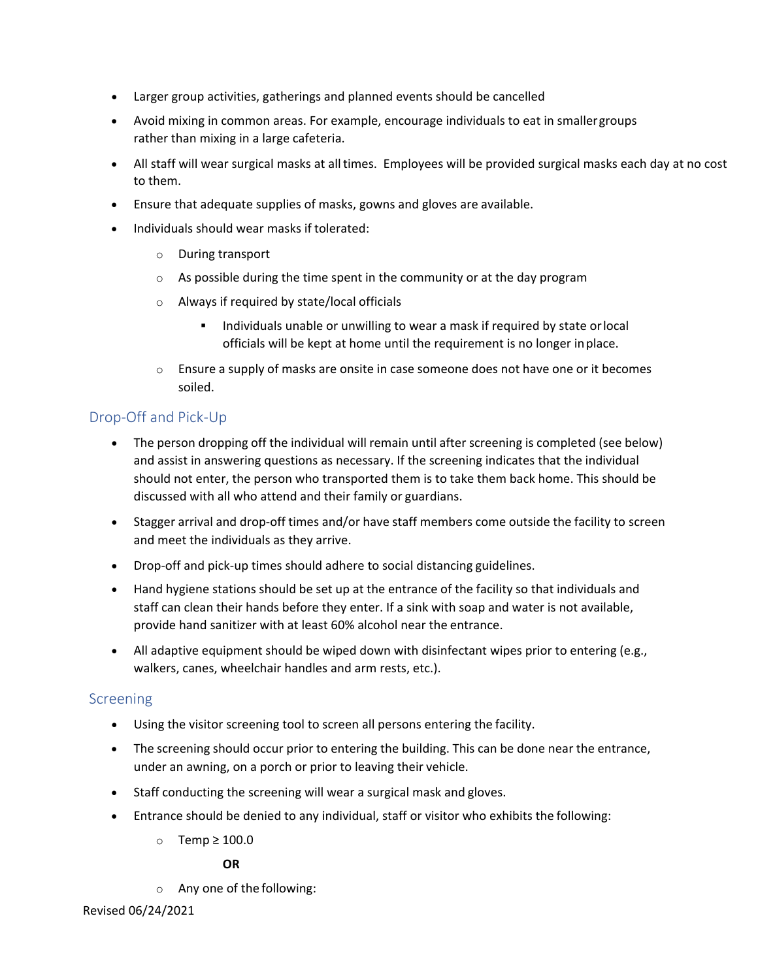- Larger group activities, gatherings and planned events should be cancelled
- Avoid mixing in common areas. For example, encourage individuals to eat in smallergroups rather than mixing in a large cafeteria.
- All staff will wear surgical masks at alltimes. Employees will be provided surgical masks each day at no cost to them.
- Ensure that adequate supplies of masks, gowns and gloves are available.
- Individuals should wear masks if tolerated:
	- o During transport
	- o As possible during the time spent in the community or at the day program
	- o Always if required by state/local officials
		- Individuals unable or unwilling to wear a mask if required by state or local officials will be kept at home until the requirement is no longer inplace.
	- $\circ$  Ensure a supply of masks are onsite in case someone does not have one or it becomes soiled.

## Drop-Off and Pick-Up

- The person dropping off the individual will remain until after screening is completed (see below) and assist in answering questions as necessary. If the screening indicates that the individual should not enter, the person who transported them is to take them back home. This should be discussed with all who attend and their family or guardians.
- Stagger arrival and drop-off times and/or have staff members come outside the facility to screen and meet the individuals as they arrive.
- Drop-off and pick-up times should adhere to social distancing guidelines.
- Hand hygiene stations should be set up at the entrance of the facility so that individuals and staff can clean their hands before they enter. If a sink with soap and water is not available, provide hand sanitizer with at least 60% alcohol near the entrance.
- All adaptive equipment should be wiped down with disinfectant wipes prior to entering (e.g., walkers, canes, wheelchair handles and arm rests, etc.).

#### Screening

- Using the visitor screening tool to screen all persons entering the facility.
- The screening should occur prior to entering the building. This can be done near the entrance, under an awning, on a porch or prior to leaving their vehicle.
- Staff conducting the screening will wear a surgical mask and gloves.
- Entrance should be denied to any individual, staff or visitor who exhibits the following:
	- o Temp ≥ 100.0

#### **OR**

o Any one of the following:

Revised 06/24/2021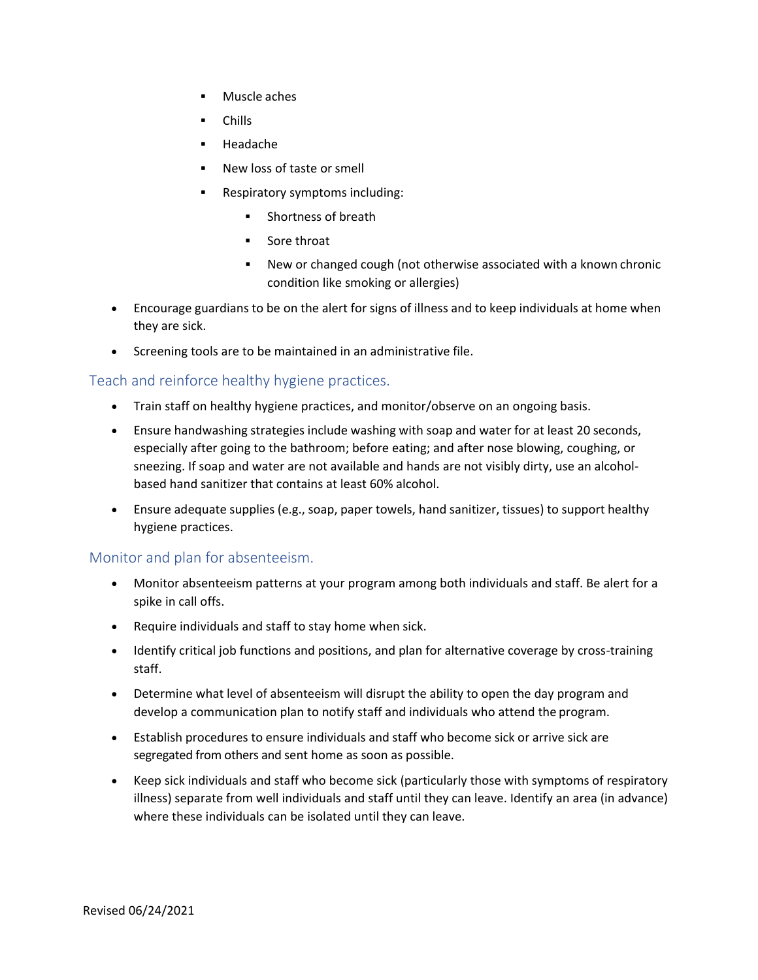- Muscle aches
- **Chills**
- **Headache**
- New loss of taste or smell
- Respiratory symptoms including:
	- Shortness of breath
	- Sore throat
	- New or changed cough (not otherwise associated with a known chronic condition like smoking or allergies)
- Encourage guardians to be on the alert for signs of illness and to keep individuals at home when they are sick.
- Screening tools are to be maintained in an administrative file.

Teach and reinforce healthy hygiene practices.

- Train staff on healthy hygiene practices, and monitor/observe on an ongoing basis.
- Ensure handwashing strategies include washing with soap and water for at least 20 seconds, especially after going to the bathroom; before eating; and after nose blowing, coughing, or sneezing. If soap and water are not available and hands are not visibly dirty, use an alcoholbased hand sanitizer that contains at least 60% alcohol.
- Ensure adequate supplies (e.g., soap, paper towels, hand sanitizer, tissues) to support healthy hygiene practices.

#### Monitor and plan for absenteeism.

- Monitor absenteeism patterns at your program among both individuals and staff. Be alert for a spike in call offs.
- Require individuals and staff to stay home when sick.
- Identify critical job functions and positions, and plan for alternative coverage by cross-training staff.
- Determine what level of absenteeism will disrupt the ability to open the day program and develop a communication plan to notify staff and individuals who attend the program.
- Establish procedures to ensure individuals and staff who become sick or arrive sick are segregated from others and sent home as soon as possible.
- Keep sick individuals and staff who become sick (particularly those with symptoms of respiratory illness) separate from well individuals and staff until they can leave. Identify an area (in advance) where these individuals can be isolated until they can leave.